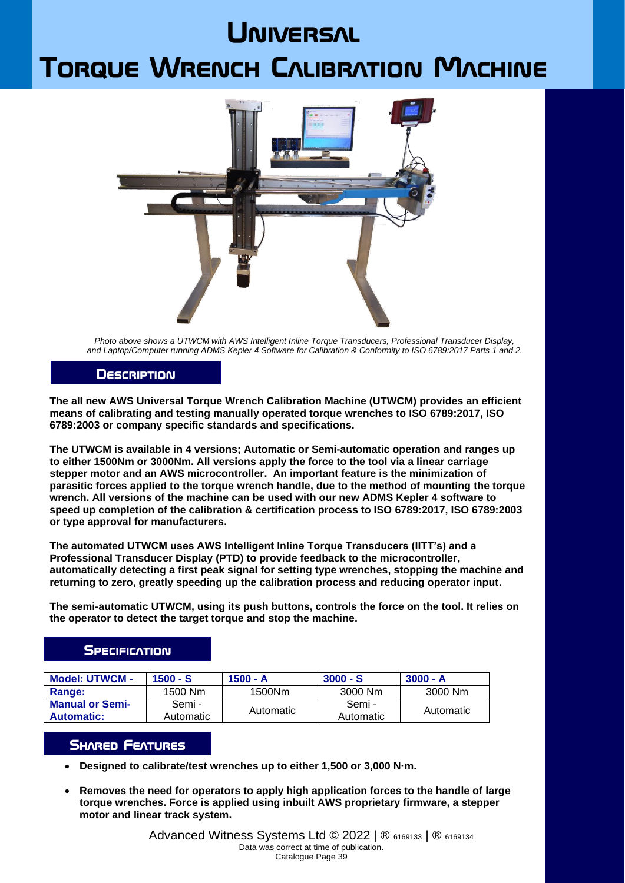# **JNIVERSAL**

# **Torque Wrench Calibration Machine**



*Photo above shows a UTWCM with AWS Intelligent Inline Torque Transducers, Professional Transducer Display, and Laptop/Computer running ADMS Kepler 4 Software for Calibration & Conformity to ISO 6789:2017 Parts 1 and 2.*

#### **Description**

**The all new AWS Universal Torque Wrench Calibration Machine (UTWCM) provides an efficient means of calibrating and testing manually operated torque wrenches to ISO 6789:2017, ISO 6789:2003 or company specific standards and specifications.**

**The UTWCM is available in 4 versions; Automatic or Semi-automatic operation and ranges up to either 1500Nm or 3000Nm. All versions apply the force to the tool via a linear carriage stepper motor and an AWS microcontroller. An important feature is the minimization of parasitic forces applied to the torque wrench handle, due to the method of mounting the torque wrench. All versions of the machine can be used with our new ADMS Kepler 4 software to speed up completion of the calibration & certification process to ISO 6789:2017, ISO 6789:2003 or type approval for manufacturers.**

**The automated UTWCM uses AWS Intelligent Inline Torque Transducers (IITT's) and a Professional Transducer Display (PTD) to provide feedback to the microcontroller, automatically detecting a first peak signal for setting type wrenches, stopping the machine and returning to zero, greatly speeding up the calibration process and reducing operator input.**

**The semi-automatic UTWCM, using its push buttons, controls the force on the tool. It relies on the operator to detect the target torque and stop the machine.**

### **SPECIFICATION**

| <b>Model: UTWCM -</b>  | $1500 - S$ | $1500 - A$ | $3000 - S$ | $3000 - A$ |
|------------------------|------------|------------|------------|------------|
| Range:                 | 1500 Nm    | 1500Nm     | 3000 Nm    | 3000 Nm    |
| <b>Manual or Semi-</b> | Semi -     | Automatic  | Semi -     | Automatic  |
| <b>Automatic:</b>      | Automatic  |            | Automatic  |            |

### **SHARED FEATURES**

- **Designed to calibrate/test wrenches up to either 1,500 or 3,000 N·m.**
- **Removes the need for operators to apply high application forces to the handle of large torque wrenches. Force is applied using inbuilt AWS proprietary firmware, a stepper motor and linear track system.**